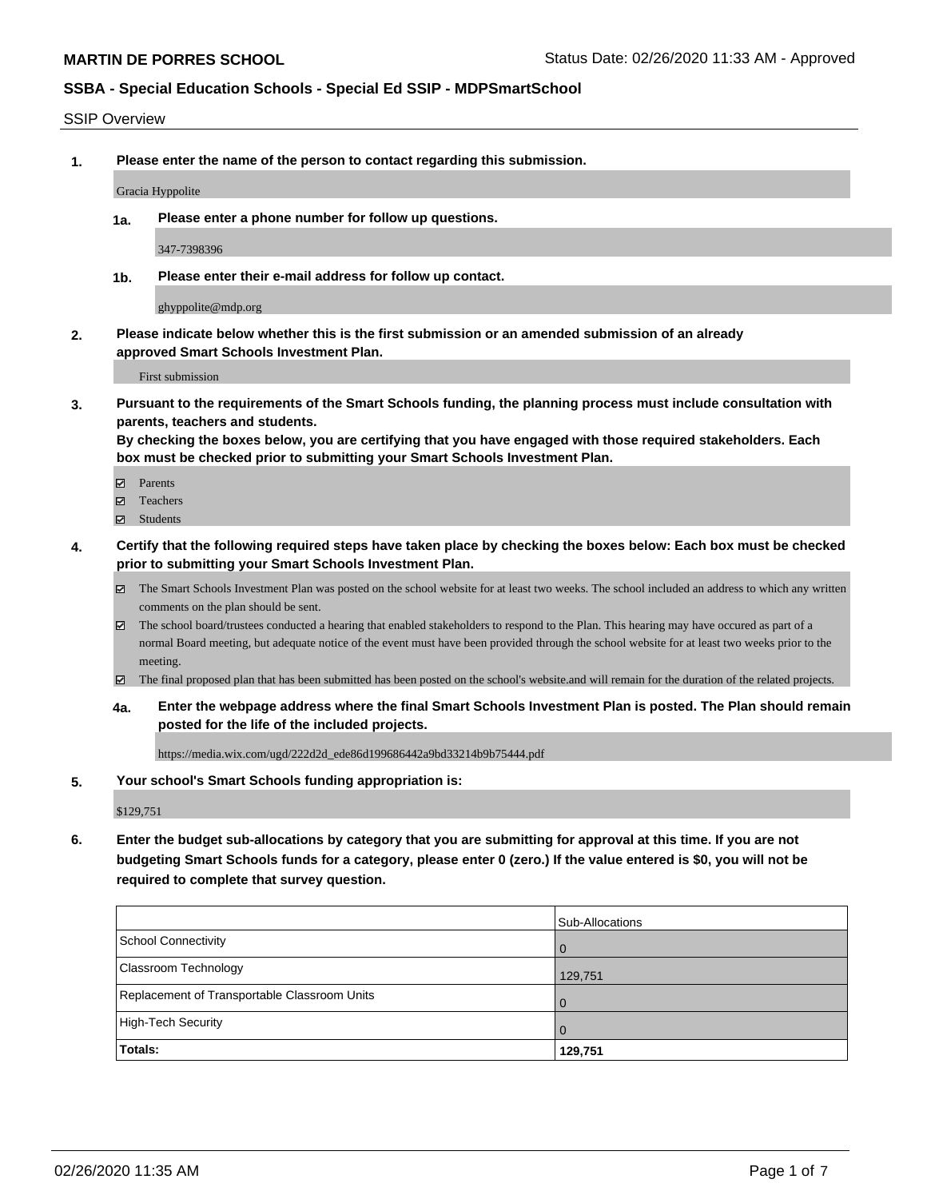#### SSIP Overview

**1. Please enter the name of the person to contact regarding this submission.**

Gracia Hyppolite

**1a. Please enter a phone number for follow up questions.**

347-7398396

**1b. Please enter their e-mail address for follow up contact.**

ghyppolite@mdp.org

**2. Please indicate below whether this is the first submission or an amended submission of an already approved Smart Schools Investment Plan.**

First submission

**3. Pursuant to the requirements of the Smart Schools funding, the planning process must include consultation with parents, teachers and students.**

**By checking the boxes below, you are certifying that you have engaged with those required stakeholders. Each box must be checked prior to submitting your Smart Schools Investment Plan.**

- Parents
- Teachers
- Students
- **4. Certify that the following required steps have taken place by checking the boxes below: Each box must be checked prior to submitting your Smart Schools Investment Plan.**
	- The Smart Schools Investment Plan was posted on the school website for at least two weeks. The school included an address to which any written comments on the plan should be sent.
	- The school board/trustees conducted a hearing that enabled stakeholders to respond to the Plan. This hearing may have occured as part of a normal Board meeting, but adequate notice of the event must have been provided through the school website for at least two weeks prior to the meeting.
	- The final proposed plan that has been submitted has been posted on the school's website.and will remain for the duration of the related projects.
	- **4a. Enter the webpage address where the final Smart Schools Investment Plan is posted. The Plan should remain posted for the life of the included projects.**

https://media.wix.com/ugd/222d2d\_ede86d199686442a9bd33214b9b75444.pdf

#### **5. Your school's Smart Schools funding appropriation is:**

\$129,751

**6. Enter the budget sub-allocations by category that you are submitting for approval at this time. If you are not budgeting Smart Schools funds for a category, please enter 0 (zero.) If the value entered is \$0, you will not be required to complete that survey question.**

|                                              | Sub-Allocations |
|----------------------------------------------|-----------------|
| School Connectivity                          | <b>O</b>        |
| <b>Classroom Technology</b>                  | 129,751         |
| Replacement of Transportable Classroom Units | $\overline{0}$  |
| High-Tech Security                           | . O             |
| Totals:                                      | 129,751         |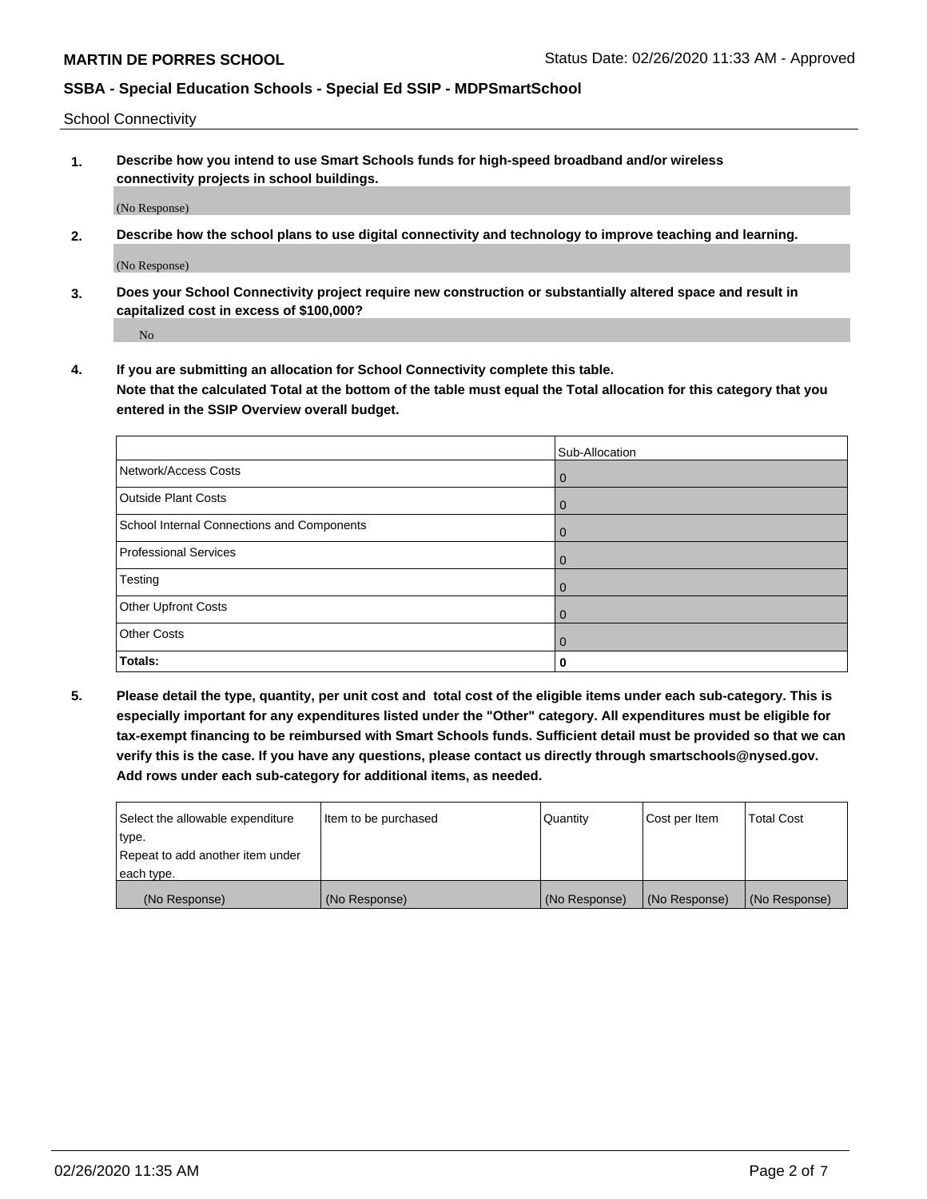School Connectivity

**1. Describe how you intend to use Smart Schools funds for high-speed broadband and/or wireless connectivity projects in school buildings.**

(No Response)

**2. Describe how the school plans to use digital connectivity and technology to improve teaching and learning.**

(No Response)

**3. Does your School Connectivity project require new construction or substantially altered space and result in capitalized cost in excess of \$100,000?**

No

**4. If you are submitting an allocation for School Connectivity complete this table. Note that the calculated Total at the bottom of the table must equal the Total allocation for this category that you entered in the SSIP Overview overall budget.** 

|                                            | Sub-Allocation |
|--------------------------------------------|----------------|
| Network/Access Costs                       | $\mathbf{0}$   |
| <b>Outside Plant Costs</b>                 | $\mathbf{0}$   |
| School Internal Connections and Components | $\Omega$       |
| <b>Professional Services</b>               | $\mathbf{0}$   |
| Testing                                    | $\mathbf{0}$   |
| <b>Other Upfront Costs</b>                 | $\Omega$       |
| <b>Other Costs</b>                         | $\Omega$       |
| Totals:                                    | 0              |

**5. Please detail the type, quantity, per unit cost and total cost of the eligible items under each sub-category. This is especially important for any expenditures listed under the "Other" category. All expenditures must be eligible for tax-exempt financing to be reimbursed with Smart Schools funds. Sufficient detail must be provided so that we can verify this is the case. If you have any questions, please contact us directly through smartschools@nysed.gov. Add rows under each sub-category for additional items, as needed.**

| each type.<br>(No Response)      | (No Response)          | (No Response) | (No Response) | (No Response)     |
|----------------------------------|------------------------|---------------|---------------|-------------------|
|                                  |                        |               |               |                   |
| Repeat to add another item under |                        |               |               |                   |
| ∣type.                           |                        |               |               |                   |
| Select the allowable expenditure | I Item to be purchased | Quantity      | Cost per Item | <b>Total Cost</b> |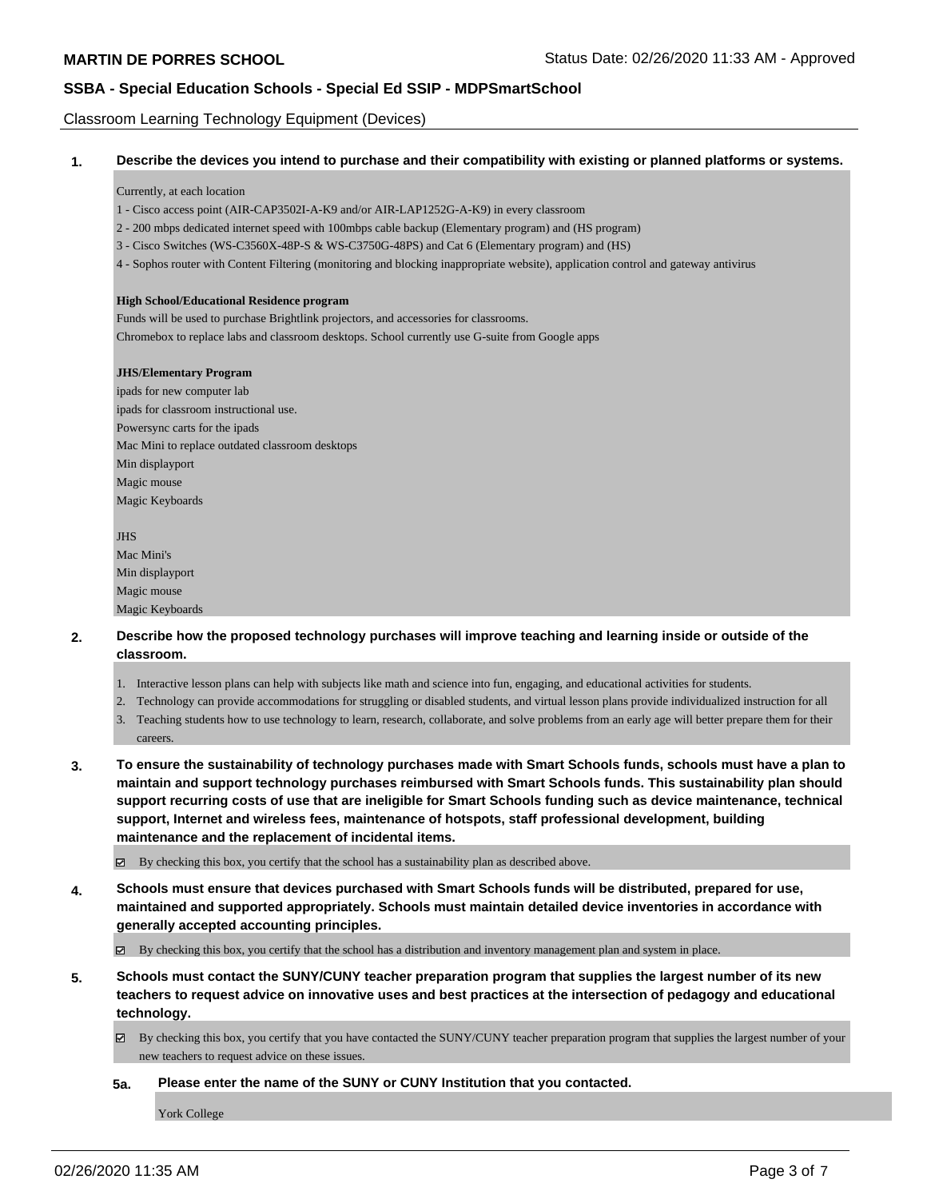Classroom Learning Technology Equipment (Devices)

|  |  |  | Describe the devices you intend to purchase and their compatibility with existing or planned platforms or systems. |  |  |  |
|--|--|--|--------------------------------------------------------------------------------------------------------------------|--|--|--|
|--|--|--|--------------------------------------------------------------------------------------------------------------------|--|--|--|

#### Currently, at each location

- 1 Cisco access point (AIR-CAP3502I-A-K9 and/or AIR-LAP1252G-A-K9) in every classroom
- 2 200 mbps dedicated internet speed with 100mbps cable backup (Elementary program) and (HS program)
- 3 Cisco Switches (WS-C3560X-48P-S & WS-C3750G-48PS) and Cat 6 (Elementary program) and (HS)
- 4 Sophos router with Content Filtering (monitoring and blocking inappropriate website), application control and gateway antivirus

#### **High School/Educational Residence program**

Funds will be used to purchase Brightlink projectors, and accessories for classrooms. Chromebox to replace labs and classroom desktops. School currently use G-suite from Google apps

#### **JHS/Elementary Program**

ipads for new computer lab ipads for classroom instructional use. Powersync carts for the ipads Mac Mini to replace outdated classroom desktops Min displayport Magic mouse Magic Keyboards

**IHS** Mac Mini's Min displayport Magic mouse Magic Keyboards

- **2. Describe how the proposed technology purchases will improve teaching and learning inside or outside of the classroom.**
	- 1. Interactive lesson plans can help with subjects like math and science into fun, engaging, and educational activities for students.
	- 2. Technology can provide accommodations for struggling or disabled students, and virtual lesson plans provide individualized instruction for all
	- 3. Teaching students how to use technology to learn, research, collaborate, and solve problems from an early age will better prepare them for their careers.
- **3. To ensure the sustainability of technology purchases made with Smart Schools funds, schools must have a plan to maintain and support technology purchases reimbursed with Smart Schools funds. This sustainability plan should support recurring costs of use that are ineligible for Smart Schools funding such as device maintenance, technical support, Internet and wireless fees, maintenance of hotspots, staff professional development, building maintenance and the replacement of incidental items.**

By checking this box, you certify that the school has a sustainability plan as described above.

**4. Schools must ensure that devices purchased with Smart Schools funds will be distributed, prepared for use, maintained and supported appropriately. Schools must maintain detailed device inventories in accordance with generally accepted accounting principles.**

By checking this box, you certify that the school has a distribution and inventory management plan and system in place.

**5. Schools must contact the SUNY/CUNY teacher preparation program that supplies the largest number of its new teachers to request advice on innovative uses and best practices at the intersection of pedagogy and educational technology.**

By checking this box, you certify that you have contacted the SUNY/CUNY teacher preparation program that supplies the largest number of your new teachers to request advice on these issues.

**5a. Please enter the name of the SUNY or CUNY Institution that you contacted.**

York College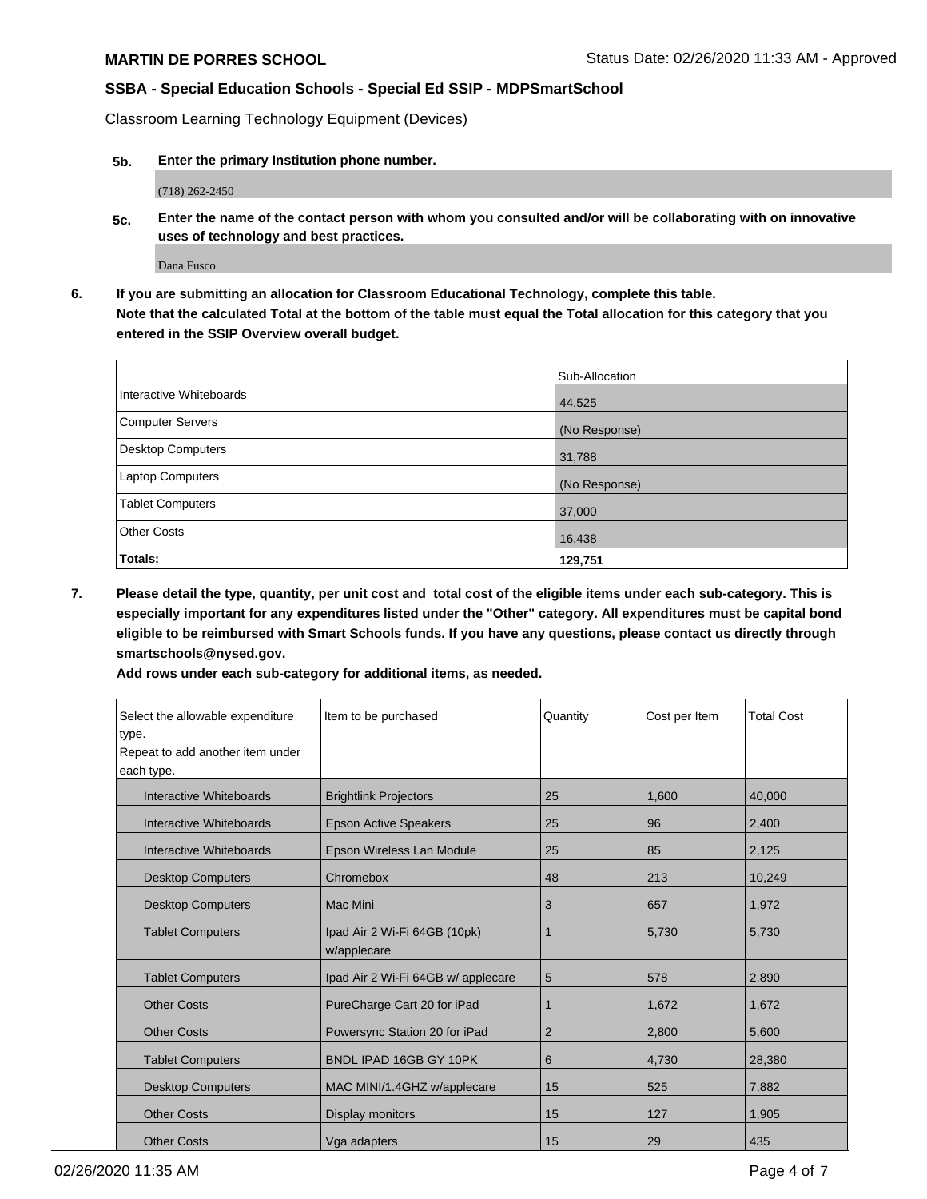Classroom Learning Technology Equipment (Devices)

**5b. Enter the primary Institution phone number.**

(718) 262-2450

**5c. Enter the name of the contact person with whom you consulted and/or will be collaborating with on innovative uses of technology and best practices.**

Dana Fusco

**6. If you are submitting an allocation for Classroom Educational Technology, complete this table. Note that the calculated Total at the bottom of the table must equal the Total allocation for this category that you entered in the SSIP Overview overall budget.**

|                          | Sub-Allocation |
|--------------------------|----------------|
| Interactive Whiteboards  | 44,525         |
| <b>Computer Servers</b>  | (No Response)  |
| <b>Desktop Computers</b> | 31,788         |
| Laptop Computers         | (No Response)  |
| <b>Tablet Computers</b>  | 37,000         |
| <b>Other Costs</b>       | 16,438         |
| Totals:                  | 129,751        |

**7. Please detail the type, quantity, per unit cost and total cost of the eligible items under each sub-category. This is especially important for any expenditures listed under the "Other" category. All expenditures must be capital bond eligible to be reimbursed with Smart Schools funds. If you have any questions, please contact us directly through smartschools@nysed.gov.**

**Add rows under each sub-category for additional items, as needed.**

| Select the allowable expenditure<br>type.<br>Repeat to add another item under<br>each type. | Item to be purchased                        | Quantity       | Cost per Item | <b>Total Cost</b> |
|---------------------------------------------------------------------------------------------|---------------------------------------------|----------------|---------------|-------------------|
| Interactive Whiteboards                                                                     | <b>Brightlink Projectors</b>                | 25             | 1,600         | 40.000            |
| Interactive Whiteboards                                                                     | <b>Epson Active Speakers</b>                | 25             | 96            | 2,400             |
| Interactive Whiteboards                                                                     | Epson Wireless Lan Module                   | 25             | 85            | 2,125             |
| <b>Desktop Computers</b>                                                                    | Chromebox                                   | 48             | 213           | 10,249            |
| <b>Desktop Computers</b>                                                                    | Mac Mini                                    | 3              | 657           | 1,972             |
| <b>Tablet Computers</b>                                                                     | Ipad Air 2 Wi-Fi 64GB (10pk)<br>w/applecare |                | 5,730         | 5,730             |
| <b>Tablet Computers</b>                                                                     | Ipad Air 2 Wi-Fi 64GB w/ applecare          | 5              | 578           | 2,890             |
| <b>Other Costs</b>                                                                          | PureCharge Cart 20 for iPad                 | 1              | 1,672         | 1,672             |
| <b>Other Costs</b>                                                                          | Powersync Station 20 for iPad               | $\overline{2}$ | 2,800         | 5,600             |
| <b>Tablet Computers</b>                                                                     | BNDL IPAD 16GB GY 10PK                      | 6              | 4,730         | 28,380            |
| <b>Desktop Computers</b>                                                                    | MAC MINI/1.4GHZ w/applecare                 | 15             | 525           | 7,882             |
| <b>Other Costs</b>                                                                          | Display monitors                            | 15             | 127           | 1,905             |
| <b>Other Costs</b>                                                                          | Vga adapters                                | 15             | 29            | 435               |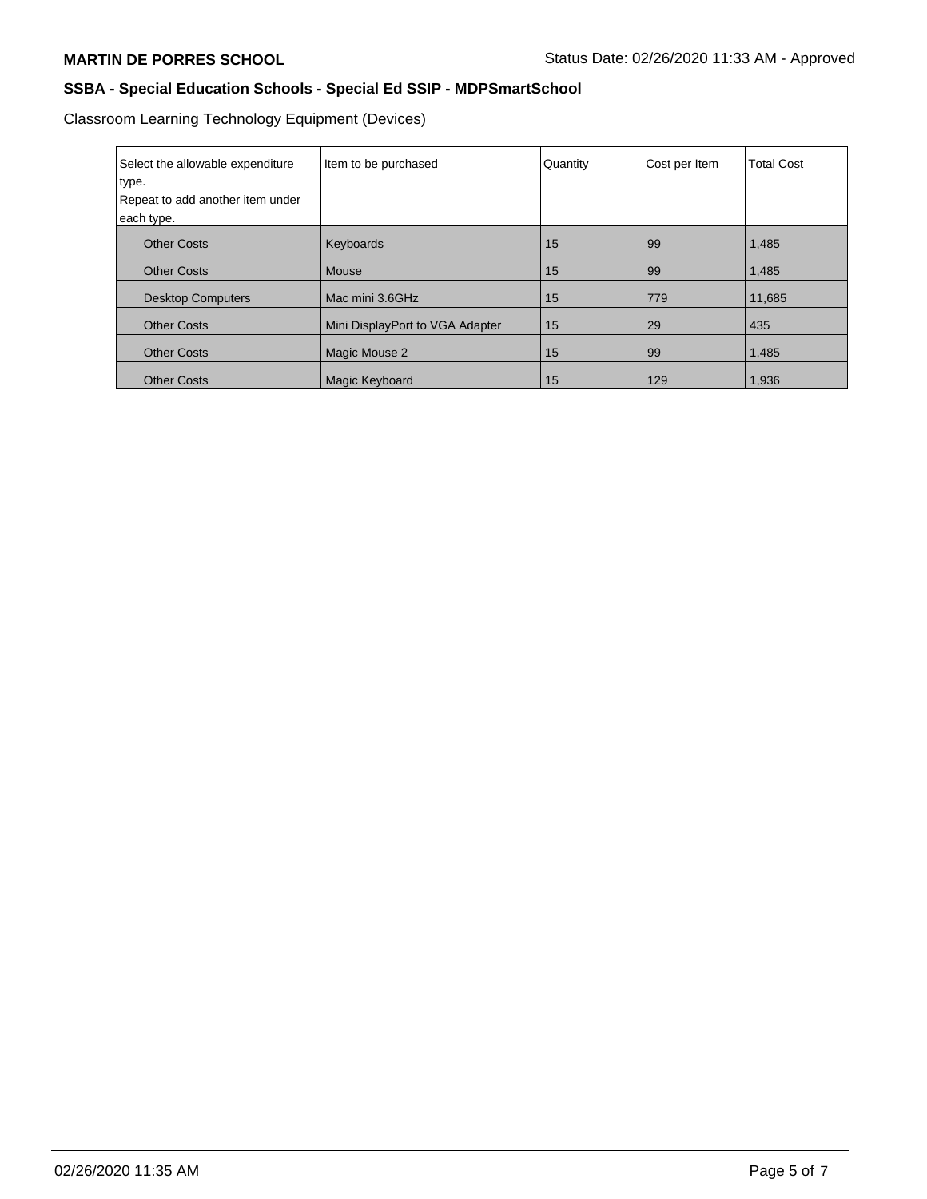Classroom Learning Technology Equipment (Devices)

| Select the allowable expenditure<br>type. | Item to be purchased            | Quantity | Cost per Item | <b>Total Cost</b> |
|-------------------------------------------|---------------------------------|----------|---------------|-------------------|
| Repeat to add another item under          |                                 |          |               |                   |
| each type.                                |                                 |          |               |                   |
| <b>Other Costs</b>                        | Keyboards                       | 15       | 99            | 1,485             |
| <b>Other Costs</b>                        | Mouse                           | 15       | 99            | 1,485             |
| <b>Desktop Computers</b>                  | Mac mini 3.6GHz                 | 15       | 779           | 11.685            |
| <b>Other Costs</b>                        | Mini DisplayPort to VGA Adapter | 15       | 29            | 435               |
| <b>Other Costs</b>                        | Magic Mouse 2                   | 15       | 99            | 1,485             |
| <b>Other Costs</b>                        | Magic Keyboard                  | 15       | 129           | 1,936             |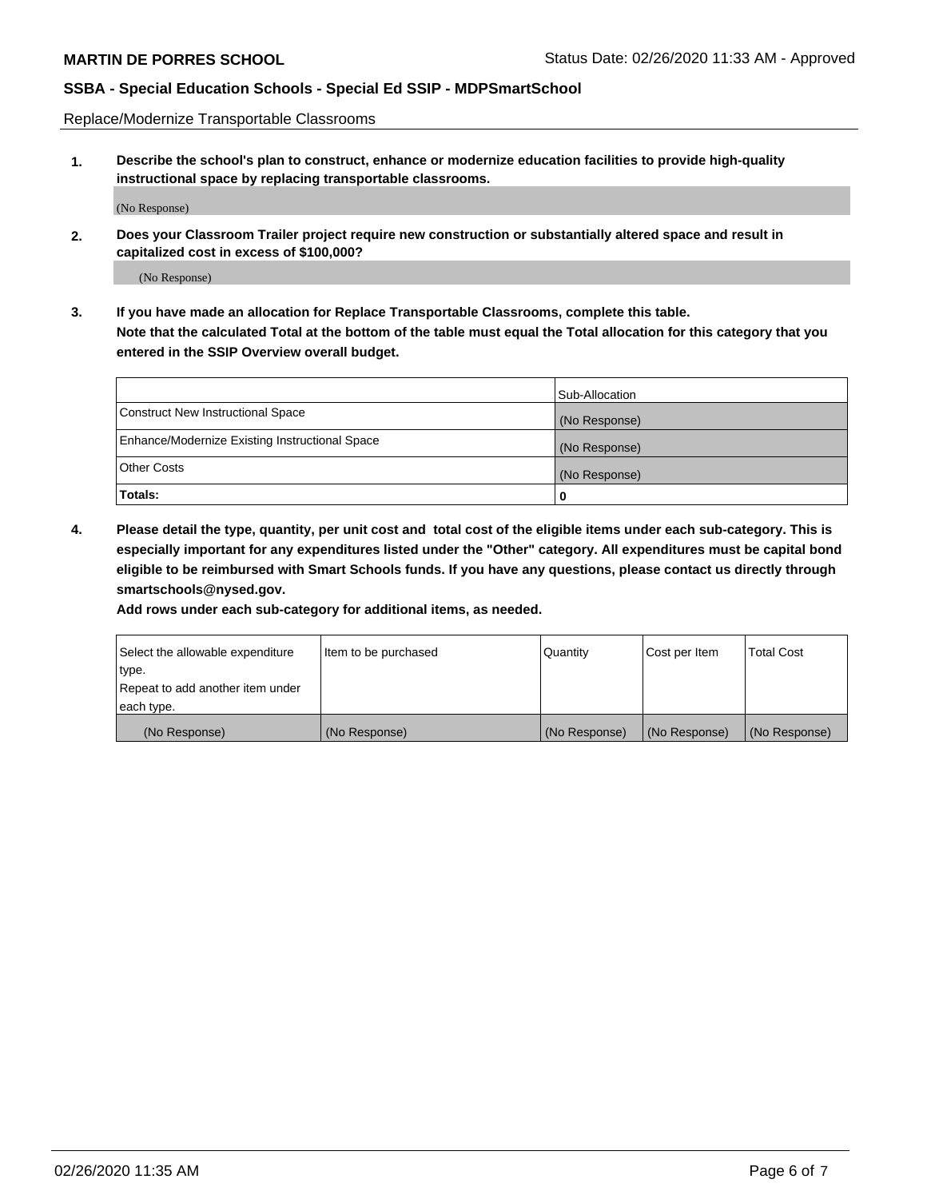Replace/Modernize Transportable Classrooms

**1. Describe the school's plan to construct, enhance or modernize education facilities to provide high-quality instructional space by replacing transportable classrooms.**

(No Response)

**2. Does your Classroom Trailer project require new construction or substantially altered space and result in capitalized cost in excess of \$100,000?**

(No Response)

**3. If you have made an allocation for Replace Transportable Classrooms, complete this table. Note that the calculated Total at the bottom of the table must equal the Total allocation for this category that you entered in the SSIP Overview overall budget.**

|                                                | Sub-Allocation |
|------------------------------------------------|----------------|
| Construct New Instructional Space              | (No Response)  |
| Enhance/Modernize Existing Instructional Space | (No Response)  |
| Other Costs                                    | (No Response)  |
| Totals:                                        | 0              |

**4. Please detail the type, quantity, per unit cost and total cost of the eligible items under each sub-category. This is especially important for any expenditures listed under the "Other" category. All expenditures must be capital bond eligible to be reimbursed with Smart Schools funds. If you have any questions, please contact us directly through smartschools@nysed.gov.**

**Add rows under each sub-category for additional items, as needed.**

| Select the allowable expenditure | Item to be purchased | Quantity      | Cost per Item | <b>Total Cost</b> |
|----------------------------------|----------------------|---------------|---------------|-------------------|
| 'type.                           |                      |               |               |                   |
| Repeat to add another item under |                      |               |               |                   |
| each type.                       |                      |               |               |                   |
| (No Response)                    | (No Response)        | (No Response) | (No Response) | (No Response)     |